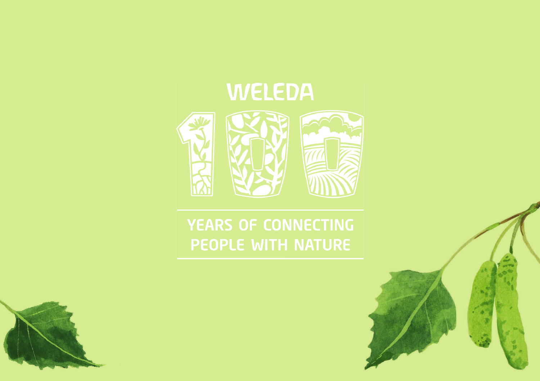



## YEARS OF CONNECTING PEOPLE WITH NATURE